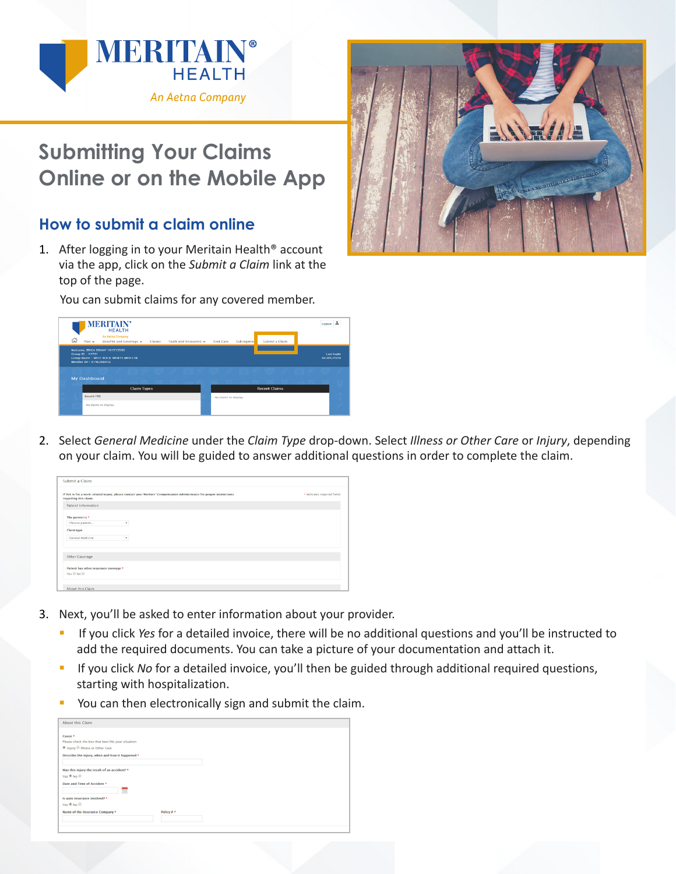

## **Submitting Your Claims Online or on the Mobile App**

## **How to submit a claim online**

1. After logging in to your Meritain Health® account via the app, click on the *Submit a Claim* link at the top of the page.

You can submit claims for any covered member.

| ัฌ | <b>MERITAIN®</b><br><b>HEALTH</b><br>An Aetna Company<br>$Plan -$<br>Benefits and Coverage +<br>Tools and Resources -<br>Claims     | Logout<br>Find Care<br>Submit a Claim<br>Subrogation |
|----|-------------------------------------------------------------------------------------------------------------------------------------|------------------------------------------------------|
|    | Welcome, ERICA DEANY 101513580<br><b>Group ID - 12721</b><br><b>Group Name - WEST ROCA SPORTS MED CTR</b><br>Member ID - 8196288456 | <b>Last login</b><br>04/09/2020                      |
|    |                                                                                                                                     |                                                      |
|    | <b>My Dashboard</b>                                                                                                                 |                                                      |
|    | <b>Claim Types</b>                                                                                                                  | <b>Recent Claims</b>                                 |
|    | <b>Benefit YTD</b>                                                                                                                  | No claims to display.                                |
|    | No claims to display.                                                                                                               |                                                      |
|    |                                                                                                                                     |                                                      |

2. Select *General Medicine* under the *Claim Type* drop-down. Select *Illness or Other Care* or *Injury*, depending on your claim. You will be guided to answer additional questions in order to complete the claim.

| Submit a Claim                                       |                                                                                                                       |                             |
|------------------------------------------------------|-----------------------------------------------------------------------------------------------------------------------|-----------------------------|
| regarding this claim.                                | If this is for a work-related injury, please contact your Workers' Compensation Administrator for proper instructions | * Indicates required fields |
| <b>Patient Information</b>                           |                                                                                                                       |                             |
| The patient is *<br>Choose patient<br>٠              |                                                                                                                       |                             |
| Claim type<br><b>General Medicine</b><br>٠           |                                                                                                                       |                             |
| Other Coverage                                       |                                                                                                                       |                             |
| Patient has other insurance coverage *<br>Yes © No © |                                                                                                                       |                             |
| About this Claim                                     |                                                                                                                       |                             |

- 3. Next, you'll be asked to enter information about your provider.
	- If you click *Yes* for a detailed invoice, there will be no additional questions and you'll be instructed to add the required documents. You can take a picture of your documentation and attach it.
	- If you click *No* for a detailed invoice, you'll then be guided through additional required questions, starting with hospitalization.
	- You can then electronically sign and submit the claim.

| Cause *<br>Please check the box that best fits your situation<br><sup>●</sup> Injury ■ Illness or Other Care<br>Describe the injury, when and how it happened *<br>Was this injury the result of an accident? *<br>Yes $@$ No $@$<br>Date and Time of Accident *<br>m<br>Is auto insurance involved? *<br>Yes ® No ®<br>Policy # *<br>Name of the Insurance Company * | <b>About this Claim</b> |  |  |
|-----------------------------------------------------------------------------------------------------------------------------------------------------------------------------------------------------------------------------------------------------------------------------------------------------------------------------------------------------------------------|-------------------------|--|--|
|                                                                                                                                                                                                                                                                                                                                                                       |                         |  |  |
|                                                                                                                                                                                                                                                                                                                                                                       |                         |  |  |
|                                                                                                                                                                                                                                                                                                                                                                       |                         |  |  |
|                                                                                                                                                                                                                                                                                                                                                                       |                         |  |  |
|                                                                                                                                                                                                                                                                                                                                                                       |                         |  |  |
|                                                                                                                                                                                                                                                                                                                                                                       |                         |  |  |
|                                                                                                                                                                                                                                                                                                                                                                       |                         |  |  |
|                                                                                                                                                                                                                                                                                                                                                                       |                         |  |  |
|                                                                                                                                                                                                                                                                                                                                                                       |                         |  |  |
|                                                                                                                                                                                                                                                                                                                                                                       |                         |  |  |
|                                                                                                                                                                                                                                                                                                                                                                       |                         |  |  |
|                                                                                                                                                                                                                                                                                                                                                                       |                         |  |  |
|                                                                                                                                                                                                                                                                                                                                                                       |                         |  |  |